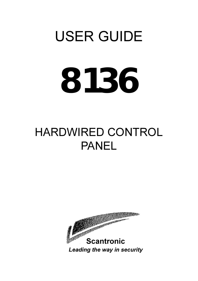# USER GUIDE **8136**

# HARDWIRED CONTROL PANEL

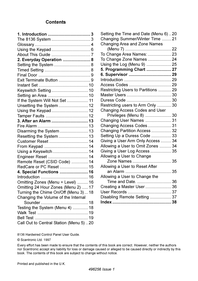#### **Contents**

| 2. Everyday Operation  8                 |  |
|------------------------------------------|--|
| Setting the System  8                    |  |
|                                          |  |
|                                          |  |
|                                          |  |
|                                          |  |
|                                          |  |
|                                          |  |
| If the System Will Not Set  11           |  |
| Unsetting the System  12                 |  |
| Using the Keypad 12                      |  |
|                                          |  |
| 3. After an Alarm  13                    |  |
|                                          |  |
|                                          |  |
| Resetting the System  13                 |  |
| Customer Reset  14                       |  |
|                                          |  |
| Using a Keyswitch  14                    |  |
|                                          |  |
| Remote Reset (CSID Code)  14             |  |
| RedCare or PC Reset  15                  |  |
| 4. Special Functions  16                 |  |
|                                          |  |
| Omitting Zones (Menu + Level)  16        |  |
| Omitting 24 Hour Zones (Menu 2)  17      |  |
| Turning the Chime On/Off (Menu 3) 18     |  |
| Changing the Volume of the Internal      |  |
|                                          |  |
| Testing the System (Menu 4)  18          |  |
|                                          |  |
|                                          |  |
| Call Out to Central Station (Menu 5)  20 |  |

| Setting the Time and Date (Menu 6)20 |  |
|--------------------------------------|--|
| Changing Summer/Winter Time  21      |  |
| Changing Area and Zone Names         |  |
|                                      |  |
| To Change Area Names:  23            |  |
| To Change Zone Names  24             |  |
| Using the Log (Menu 9)  25           |  |
| 5. Programming Chart  27             |  |
|                                      |  |
|                                      |  |
|                                      |  |
| Restricting Users to Partitions  29  |  |
|                                      |  |
|                                      |  |
| Restricting users to Arm Only  30    |  |
| Changing Access Codes and User       |  |
| Privileges (Menu 8)  30              |  |
| Changing User Names  31              |  |
| Changing Access Codes 31             |  |
| Changing Partition Access  32        |  |
| Setting Up a Duress Code  33         |  |
| Giving a User Arm Only Access  34    |  |
| Allowing a User to Omit Zones  34    |  |
| Giving a User Log Access  35         |  |
| Allowing a User to Change            |  |
| Zone Names  35                       |  |
| Allowing a User to Reset After       |  |
|                                      |  |
| Allowing a User to Change the        |  |
| Time and Date.  36                   |  |
| Creating a Master User  36           |  |
|                                      |  |
| Disabling Remote Setting  37         |  |
|                                      |  |

8136 Hardwired Control Panel User Guide.

© Scantronic Ltd. 1997

Every effort has been made to ensure that the contents of this book are correct. However, neither the authors nor Scantronic accept any liability for loss or damage caused or alleged to be caused directly or indirectly by this book. The contents of this book are subject to change without notice.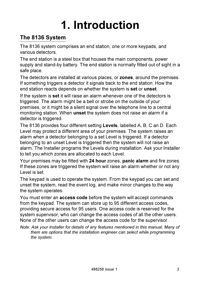# **1. Introduction**

#### **The 8136 System**

The 8136 system comprises an end station, one or more keypads, and various detectors.

The end station is a steel box that houses the main components, power supply and stand-by battery. The end station is normally fitted out of sight in a safe place.

The detectors are installed at various places, or **zones**, around the premises. If something triggers a detector it signals back to the end station. How the end station reacts depends on whether the system is **set** or **unset**.

If the system is **set** it will raise an alarm whenever one of the detectors is triggered. The alarm might be a bell or strobe on the outside of your premises, or it might be a silent signal over the telephone line to a central monitoring station. When **unset** the system does not raise an alarm if a detector is triggered.

The 8136 provides four different setting **Levels**, labelled A, B, C an D. Each Level may protect a different area of your premises. The system raises an alarm when a detector belonging to a set Level is triggered. If a detector belonging to an unset Level is triggered then the system will not raise an alarm. The Installer programs the Levels during installation. Ask your Installer to tell you which zones are allocated to each Level.

Your premises may be fitted with **24 hour** zones, **panic alarm** and fire zones. If these zones are triggered the system will raise an alarm whether or not any Level is set.

The keypad is used to operate the system. From the keypad you can set and unset the system, read the event log, and make minor changes to the way the system operates.

You must enter an **access code** before the system will accept commands from the keypad. The system can store up to 95 different access codes, providing secure access for 95 users. One access code is reserved for the system supervisor, who can change the access codes of all the other users. None of the other users can change the access code for the supervisor.

*Note: Ask your Installer for details of any features mentioned in this manual. Many of them are options that the installation engineer can select while programming the system.*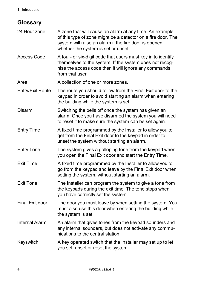#### 1. Introduction

#### **Glossary**

24 Hour zone A zone that will cause an alarm at any time. An example of this type of zone might be a detector on a fire door. The system will raise an alarm if the fire door is opened whether the system is set or unset. Access Code A four- or six-digit code that users must key in to identify themselves to the system. If the system does not recognise the access code then it will ignore any commands from that user Area A collection of one or more zones Entry/Exit Route The route you should follow from the Final Exit door to the keypad in order to avoid starting an alarm when entering the building while the system is set. Disarm Switching the bells off once the system has given an alarm. Once you have disarmed the system you will need to reset it to make sure the system can be set again. Entry Time A fixed time programmed by the Installer to allow you to get from the Final Exit door to the keypad in order to unset the system without starting an alarm. Entry Tone The system gives a galloping tone from the keypad when you open the Final Exit door and start the Entry Time. Exit Time A fixed time programmed by the Installer to allow you to go from the keypad and leave by the Final Exit door when setting the system, without starting an alarm. Exit Tone The Installer can program the system to give a tone from the keypads during the exit time. The tone stops when you have correctly set the system. Final Exit door The door you must leave by when setting the system. You must also use this door when entering the building while the system is set. Internal Alarm An alarm that gives tones from the keypad sounders and any internal sounders, but does not activate any communications to the central station. Keyswitch A key operated switch that the Installer may set up to let you set, unset or reset the system.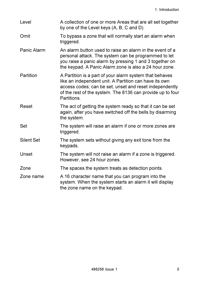| Level       | A collection of one or more Areas that are all set together<br>by one of the Level keys (A, B, C and D).                                                                                                                                                  |
|-------------|-----------------------------------------------------------------------------------------------------------------------------------------------------------------------------------------------------------------------------------------------------------|
| Omit        | To bypass a zone that will normally start an alarm when<br>triggered.                                                                                                                                                                                     |
| Panic Alarm | An alarm button used to raise an alarm in the event of a<br>personal attack. The system can be programmed to let<br>you raise a panic alarm by pressing 1 and 3 together on<br>the keypad. A Panic Alarm zone is also a 24 hour zone.                     |
| Partition   | A Partition is a part of your alarm system that behaves<br>like an independent unit. A Partition can have its own<br>access codes; can be set, unset and reset independently<br>of the rest of the system. The 8136 can provide up to four<br>Partitions. |
| Reset       | The act of getting the system ready so that it can be set<br>again, after you have switched off the bells by disarming<br>the system.                                                                                                                     |
| Set         | The system will raise an alarm if one or more zones are<br>triggered.                                                                                                                                                                                     |
| Silent Set  | The system sets without giving any exit tone from the<br>keypads.                                                                                                                                                                                         |
| Unset       | The system will not raise an alarm if a zone is triggered.<br>However, see 24 hour zones.                                                                                                                                                                 |
| Zone        | The spaces the system treats as detection points.                                                                                                                                                                                                         |
| Zone name   | A 16 character name that you can program into the<br>system. When the system starts an alarm it will display<br>the zone name on the keypad.                                                                                                              |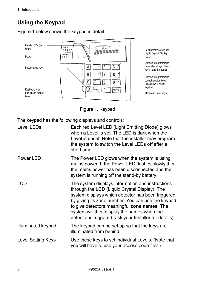# **Using the Keypad**

Figure 1 below shows the keypad in detail.



Figure 1. Keypad

The keypad has the following displays and controls:

| Level LEDs         | Each red Level LED (Light Emitting Diode) glows<br>when a Level is set. The LED is dark when the<br>Level is unset. Note that the installer may program<br>the system to switch the Level LEDs off after a<br>short time.                                                                                                                                             |
|--------------------|-----------------------------------------------------------------------------------------------------------------------------------------------------------------------------------------------------------------------------------------------------------------------------------------------------------------------------------------------------------------------|
| Power LED          | The Power LED glows when the system is using<br>mains power. If the Power LED flashes slowly then<br>the mains power has been disconnected and the<br>system is running off the stand-by battery.                                                                                                                                                                     |
| <b>LCD</b>         | The system displays information and instructions<br>through the LCD (Liquid Crystal Display). The<br>system displays which detector has been triggered<br>by giving its zone number. You can use the keypad<br>to give detectors meaningful zone names. The<br>system will then display the names when the<br>detector is triggered (ask your Installer for details). |
| Illuminated keypad | The keypad can be set up so that the keys are<br>illuminated from behind.                                                                                                                                                                                                                                                                                             |
| Level Setting Keys | Use these keys to set individual Levels. (Note that<br>you will have to use your access code first.)                                                                                                                                                                                                                                                                  |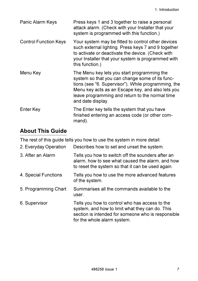| Panic Alarm Keys             | Press keys 1 and 3 together to raise a personal<br>attack alarm. (Check with your Installer that your<br>system is programmed with this function.)                                                                                                                                 |
|------------------------------|------------------------------------------------------------------------------------------------------------------------------------------------------------------------------------------------------------------------------------------------------------------------------------|
| <b>Control Function Keys</b> | Your system may be fitted to control other devices<br>such external lighting. Press keys 7 and 9 together<br>to activate or deactivate the device. (Check with<br>your Installer that your system is programmed with<br>this function.)                                            |
| Menu Key                     | The Menu key lets you start programming the<br>system so that you can change some of its func-<br>tions (see "6. Supervisor"). While programming, the<br>Menu key acts as an Escape key, and also lets you<br>leave programming and return to the normal time<br>and date display. |
| Enter Key                    | The Enter key tells the system that you have<br>finished entering an access code (or other com-<br>mand).                                                                                                                                                                          |

# **About This Guide**

The rest of this guide tells you how to use the system in more detail:

| 2. Everyday Operation | Describes how to set and unset the system.                                                                                                                                             |
|-----------------------|----------------------------------------------------------------------------------------------------------------------------------------------------------------------------------------|
| 3. After an Alarm     | Tells you how to switch off the sounders after an<br>alarm, how to see what caused the alarm, and how<br>to reset the system so that it can be used again.                             |
| 4. Special Functions  | Tells you how to use the more advanced features<br>of the system.                                                                                                                      |
| 5. Programming Chart  | Summarises all the commands available to the<br>user.                                                                                                                                  |
| 6. Supervisor         | Tells you how to control who has access to the<br>system, and how to limit what they can do. This<br>section is intended for someone who is responsible<br>for the whole alarm system. |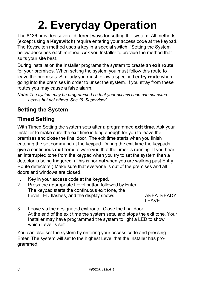# **2. Everyday Operation**

The 8136 provides several different ways for setting the system. All methods (except using a **Keyswitch)** require entering your access code at the keypad. The Keyswitch method uses a key in a special switch. "Setting the System" below describes each method. Ask you Installer to provide the method that suits your site best.

During installation the Installer programs the system to create an **exit route** for your premises. When setting the system you must follow this route to leave the premises. Similarly you must follow a specified **entry route** when going into the premises in order to unset the system. If you stray from these routes you may cause a false alarm.

*Note: The system may be programmed so that your access code can set some Levels but not others. See "6. Supervisor".*

# **Setting the System**

# **Timed Setting**

With Timed Setting the system sets after a programmed **exit time.** Ask your Installer to make sure the exit time is long enough for you to leave the premises and close the final door. The exit time starts when you finish entering the set command at the keypad. During the exit time the keypads give a continuous **exit tone** to warn you that the timer is running. If you hear an interrupted tone from the keypad when you try to set the system then a detector is being triggered. (This is normal when you are walking past Entry Route detectors.) Make sure that everyone is out of the premises and all doors and windows are closed.

- 1. Key in your access code at the keypad.
- 2. Press the appropriate Level button followed by Enter. The keypad starts the continuous exit tone, the Level LED flashes, and the display shows: AREA READY

LEAVE

3. Leave via the designated exit route. Close the final door. At the end of the exit time the system sets, and stops the exit tone. Your Installer may have programmed the system to light a LED to show which Level is set.

You can also set the system by entering your access code and pressing Enter. The system will set to the highest Level that the Installer has programmed.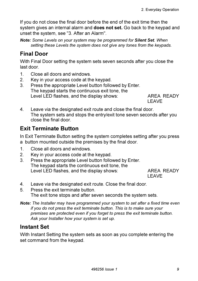If you do not close the final door before the end of the exit time then the system gives an internal alarm and **does not set.** Go back to the keypad and unset the system, see "3. After an Alarm".

*Note: Some Levels on your system may be programmed for Silent Set. When setting these Levels the system does not give any tones from the keypads.*

# **Final Door**

With Final Door setting the system sets seven seconds after you close the last door.

- 1. Close all doors and windows.
- 2. Key in your access code at the keypad.
- 3. Press the appropriate Level button followed by Enter. The keypad starts the continuous exit tone, the Level LED flashes, and the display shows: AREA READY

LEAVE

4. Leave via the designated exit route and close the final door. The system sets and stops the entry/exit tone seven seconds after you close the final door.

# **Exit Terminate Button**

In Exit Terminate Button setting the system completes setting after you press a button mounted outside the premises by the final door.

- 1. Close all doors and windows.
- 2. Key in your access code at the keypad.
- 3. Press the appropriate Level button followed by Enter. The keypad starts the continuous exit tone, the Level LED flashes, and the display shows: AREA READY

LEAVE

- 4. Leave via the designated exit route. Close the final door.
- 5. Press the exit terminate button. The exit tone stops and after seven seconds the system sets.
- *Note: The Installer may have programmed your system to set after a fixed time even if you do not press the exit terminate button. This is to make sure your premises are protected even if you forget to press the exit terminate button. Ask your Installer how your system is set up.*

#### **Instant Set**

With Instant Setting the system sets as soon as you complete entering the set command from the keypad.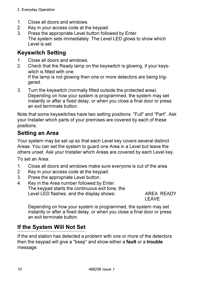- 1. Close all doors and windows.
- 2. Key in your access code at the keypad.
- 3. Press the appropriate Level button followed by Enter. The system sets immediately. The Level LED glows to show which Level is set.

#### **Keyswitch Setting**

- 1. Close all doors and windows.<br>2. Check that the Ready lamp of
- 2. Check that the Ready lamp on the keyswitch is glowing, if your keyswitch is fitted with one. If the lamp is not glowing then one or more detectors are being triggered.
- 3. Turn the keyswitch (normally fitted outside the protected area). Depending on how your system is programmed, the system may set instantly or after a fixed delay, or when you close a final door or press an exit terminate button.

Note that some keyswitches have two setting positions: "Full" and "Part". Ask your Installer which parts of your premises are covered by each of these positions.

# **Setting an Area**

Your system may be set up so that each Level key covers several distinct Areas. You can set the system to guard one Area in a Level but leave the others unset. Ask your Installer which Areas are covered by each Level key.

To set an Area:

- 1. Close all doors and windows make sure everyone is out of the area.
- 2. Key in your access code at the keypad.
- 3. Press the appropriate Level button.
- 4. Key in the Area number followed by Enter. The keypad starts the continuous exit tone, the Level LED flashes, and the display shows: AREA READY

LEAVE

Depending on how your system is programmed, the system may set instantly or after a fixed delay, or when you close a final door or press an exit terminate button.

# **If the System Will Not Set**

If the end station has detected a problem with one or more of the detectors then the keypad will give a "beep" and show either a **fault** or a **trouble** message.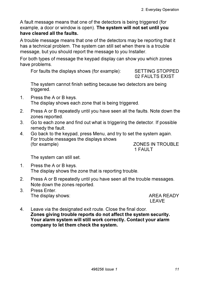A fault message means that one of the detectors is being triggered (for example, a door or window is open). **The system will not set until you have cleared all the faults.**

A trouble message means that one of the detectors may be reporting that it has a technical problem. The system can still set when there is a trouble message, but you should report the message to you Installer.

For both types of message the keypad display can show you which zones have problems.

For faults the displays shows (for example): SETTING STOPPED

02 FAULTS EXIST

The system cannot finish setting because two detectors are being triggered.

- 1. Press the A or B keys. The display shows each zone that is being triggered.
- 2. Press A or B repeatedly until you have seen all the faults. Note down the zones reported.
- 3. Go to each zone and find out what is triggering the detector. If possible remedy the fault.
- 4. Go back to the keypad, press Menu, and try to set the system again. For trouble messages the displays shows (for example)  $ZONES IN TROUBLE$

1 FAULT

The system can still set.

- 1. Press the A or B keys. The display shows the zone that is reporting trouble.
- 2. Press A or B repeatedly until you have seen all the trouble messages. Note down the zones reported.
- 3. Press Enter. The display shows: AREA READY

LEAVE

4. Leave via the designated exit route. Close the final door. **Zones giving trouble reports do not affect the system security. Your alarm system will still work correctly. Contact your alarm company to let them check the system.**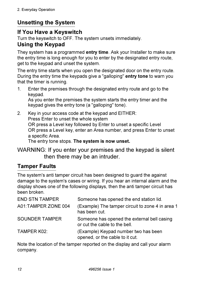# **Unsetting the System**

#### **If You Have a Keyswitch**

Turn the keyswitch to OFF. The system unsets immediately.

#### **Using the Keypad**

They system has a programmed **entry time**. Ask your Installer to make sure the entry time is long enough for you to enter by the designated entry route, get to the keypad and unset the system.

The entry time starts when you open the designated door on the entry route. During the entry time the keypads give a "galloping" **entry tone** to warn you that the timer is running.

1. Enter the premises through the designated entry route and go to the keypad.

As you enter the premises the system starts the entry timer and the keypad gives the entry tone (a "galloping" tone).

2. Key in your access code at the keypad and EITHER: Press Enter to unset the whole system OR press a Level key followed by Enter to unset a specific Level OR press a Level key, enter an Area number, and press Enter to unset a specific Area. The entry tone stops. **The system is now unset.**

WARNING: If you enter your premises and the keypad is silent then there may be an intruder.

#### **Tamper Faults**

The system's anti tamper circuit has been designed to guard the against damage to the system's cases or wiring. If you hear an internal alarm and the display shows one of the following displays, then the anti tamper circuit has been broken.

| <b>END STN TAMPER</b> | Someone has opened the end station lid.                                      |
|-----------------------|------------------------------------------------------------------------------|
| A01:TAMPER ZONE 004   | (Example) The tamper circuit to zone 4 in area 1<br>has been cut.            |
| <b>SOUNDER TAMPER</b> | Someone has opened the external bell casing<br>or cut the cable to the bell. |
| TAMPER K02:           | (Example) Keypad number two has been<br>opened, or the cable to it cut.      |

Note the location of the tamper reported on the display and call your alarm company.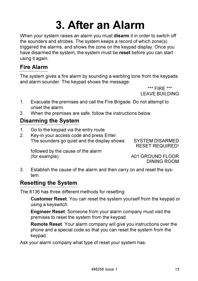# **3. After an Alarm**

When your system raises an alarm you must **disarm** it in order to switch off the sounders and strobes. The system keeps a record of which zone(s) triggered the alarms, and shows the zone on the keypad display. Once you have disarmed the system, the system must be **reset** before you can start using it again.

## **Fire Alarm**

The system gives a fire alarm by sounding a warbling tone from the keypads and alarm sounder. The keypad shows the message:

> \*\*\* FIRE \*\*\* LEAVE BUILDING

- 1. Evacuate the premises and call the Fire Brigade. Do not attempt to unset the alarm.
- 2. When the premises are safe, follow the instructions below.

#### **Disarming the System**

- 1. Go to the keypad via the entry route.<br>2. Key-in your access code and press E
- Key-in your access code and press Enter. The sounders go quiet and the display shows: SYSTEM DISARMED

RESET REQUIRED!

followed by the cause of the alarm (for example): A01:GROUND FLOOR

DINING ROOM

3. Establish the cause of the alarm and then carry on and reset the system.

# **Resetting the System**

The 8136 has three different methods for resetting:

**Customer Reset**. You can reset the system yourself from the keypad or using a keyswitch.

**Engineer Reset**. Someone from your alarm company must visit the premises to reset the system from the keypad.

**Remote Reset**. Your alarm company will give you instructions over the phone and a special code so that you can reset the system from the keypad.

Ask your alarm company what type of reset your system has.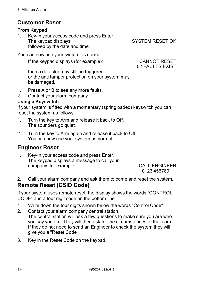## **Customer Reset**

#### **From Keypad**

1. Key-in your access code and press Enter. The keypad displays: SYSTEM RESET OK followed by the date and time.

You can now use your system as normal.

If the keypad displays (for example): CANNOT RESET

02 FAULTS EXIST

then a detector may still be triggered, or the anti tamper protection on your system may be damaged.

- 1. Press A or B to see any more faults.
- 2. Contact your alarm company.

#### **Using a Keyswitch**

If your system is fitted with a momentary (springloaded) keyswitch you can reset the system as follows:

- 1. Turn the key to Arm and release it back to Off. The sounders go quiet.
- 2. Turn the key to Arm again and release it back to Off. You can now use your system as normal.

#### **Engineer Reset**

1. Key-in your access code and press Enter. The keypad displays a message to call your company, for example: CALL ENGINEER

0123 456789

2. Call your alarm company and ask them to come and reset the system. **Remote Reset (CSID Code)**

If your system uses remote reset, the display shows the words "CONTROL CODE" and a four digit code on the bottom line.

- 1. Write down the four digits shown below the words "Control Code".
- 2. Contact your alarm company central station. The central station will ask a few questions to make sure you are who you say you are. They will then ask for the circumstances of the alarm. If they do not need to send an Engineer to check the system they will give you a "Reset Code".
- 3. Key in the Reset Code on the keypad.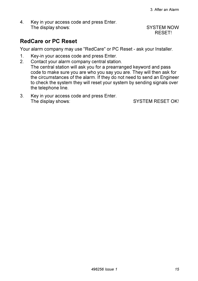4. Key in your access code and press Enter. The display shows: SYSTEM NOW

RESET!

#### **RedCare or PC Reset**

Your alarm company may use "RedCare" or PC Reset - ask your Installer.

- 1. Key-in your access code and press Enter.
- 2. Contact your alarm company central station. The central station will ask you for a prearranged keyword and pass code to make sure you are who you say you are. They will then ask for the circumstances of the alarm. If they do not need to send an Engineer to check the system they will reset your system by sending signals over the telephone line.
- 3. Key in your access code and press Enter. The display shows: SYSTEM RESET OK!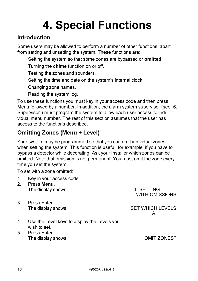# **4. Special Functions**

#### **Introduction**

Some users may be allowed to perform a number of other functions, apart from setting and unsetting the system. These functions are:

Setting the system so that some zones are bypassed or **omitted**.

Turning the **chime** function on or off.

Testing the zones and sounders.

Setting the time and date on the system's internal clock.

Changing zone names.

Reading the system log.

To use these functions you must key in your access code and then press Menu followed by a number. In addition, the alarm system supervisor (see "6. Supervisor") must program the system to allow each user access to individual menu number. The rest of this section assumes that the user has access to the functions described.

# **Omitting Zones (Menu + Level)**

Your system may be programmed so that you can omit individual zones when setting the system. This function is useful, for example, if you have to bypass a detector while decorating. Ask your Installer which zones can be omitted. Note that omission is not permanent. You must omit the zone every time you set the system.

To set with a zone omitted:

- 1. Key in your access code.
- 2. Press **Menu**. The display shows: 1: SETTING WITH OMISSIONS 3. Press Enter. The display shows: SET WHICH LEVELS A 4 Use the Level keys to display the Levels you wish to set. 5. Press Enter. The display shows: OMIT ZONES?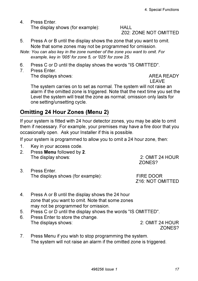4. Press Enter. The display shows (for example): HALL

# Z02: ZONE NOT OMITTED

- 5. Press A or B until the display shows the zone that you want to omit. Note that some zones may not be programmed for omission.
- *Note: You can also key in the zone number of the zone you want to omit. For example, key in '005' for zone 5, or '025' for zone 25.*
- 6. Press C or D until the display shows the words "IS OMITTED".
- 7. Press Enter.

The displays shows: The displays shows:

LEAVE

The system carries on to set as normal. The system will not raise an alarm if the omitted zone is triggered. Note that the next time you set the Level the system will treat the zone as normal; omission only lasts for one setting/unsetting cycle.

#### **Omitting 24 Hour Zones (Menu 2)**

If your system is fitted with 24 hour detector zones, you may be able to omit them if necessary. For example, your premises may have a fire door that you occasionally open. Ask your Installer if this is possible.

If your system is programmed to allow you to omit a 24 hour zone, then:

- 1. Key in your access code.
- 2. Press **Menu** followed by **2**. The display shows: 2: OMIT 24 HOUR
- 3. Press Enter. The displays shows (for example): FIRE DOOR

ZONES?

Z16: NOT OMITTED

- 4. Press A or B until the display shows the 24 hour zone that you want to omit. Note that some zones may not be programmed for omission.
- 5. Press C or D until the display shows the words "IS OMITTED".
- 6. Press Enter to store the change. The displays shows: 2: OMIT 24 HOUR

ZONES?

7. Press Menu if you wish to stop programming the system. The system will not raise an alarm if the omitted zone is triggered.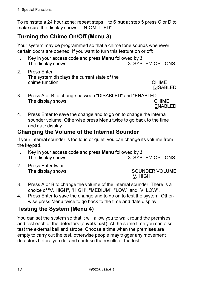To reinstate a 24 hour zone: repeat steps 1 to 6 **but** at step 5 press C or D to make sure the display shows "UN-OMITTED".

# **Turning the Chime On/Off (Menu 3)**

Your system may be programmed so that a chime tone sounds whenever certain doors are opened. If you want to turn this feature on or off:

- 1. Key in your access code and press **Menu** followed by **3**. The display shows:
- 2. Press Enter. The system displays the current state of the chime function: CHIME

DISABLED

3. Press A or B to change between "DISABLED" and "ENABLED". The display shows:

ENABLED

4. Press Enter to save the change and to go on to change the internal sounder volume. Otherwise press Menu twice to go back to the time and date display.

#### **Changing the Volume of the Internal Sounder**

If your internal sounder is too loud or quiet, you can change its volume from the keypad.

- 1. Key in your access code and press **Menu** followed by **3**. The display shows: 3: SYSTEM OPTIONS.
- 2. Press Enter twice.

The display shows: SOUNDER VOLUME V. HIGH

- 3. Press A or B to change the volume of the internal sounder. There is a choice of "V. HIGH", "HIGH", "MEDIUM", "LOW" and "V. LOW".
- 4. Press Enter to save the change and to go on to test the system. Otherwise press Menu twice to go back to the time and date display.

# **Testing the System (Menu 4)**

You can set the system so that it will allow you to walk round the premises and test each of the detectors (a **walk test**). At the same time you can also test the external bell and strobe. Choose a time when the premises are empty to carry out the test, otherwise people may trigger any movement detectors before you do, and confuse the results of the test.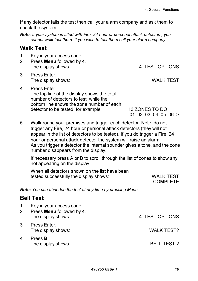If any detector fails the test then call your alarm company and ask them to check the system.

*Note: If your system is fitted with Fire, 24 hour or personal attack detectors, you cannot walk test them. If you wish to test them call your alarm company.*

#### **Walk Test**

- 1. Key in your access code.
- 2. Press **Menu** followed by **4**. The display shows: The display shows:  $\overline{4}$ : TEST OPTIONS
- 3. Press Enter. The display shows: WALK TEST
- 4. Press Enter. The top line of the display shows the total number of detectors to test, while the bottom line shows the zone number of each detector to be tested, for example: 13 ZONES TO DO

01 02 03 04 05 06 >

5. Walk round your premises and trigger each detector. Note: do not trigger any Fire, 24 hour or personal attack detectors (they will not appear in the list of detectors to be tested). If you do trigger a Fire, 24 hour or personal attack detector the system will raise an alarm. As you trigger a detector the internal sounder gives a tone, and the zone number disappears from the display.

If necessary press A or B to scroll through the list of zones to show any not appearing on the display.

When all detectors shown on the list have been tested successfully the display shows: WALK TEST

COMPLETE

*Note: You can abandon the test at any time by pressing Menu.*

#### **Bell Test**

- 1. Key in your access code.
- 2. Press **Menu** followed by **4**. The display shows:  $\begin{array}{ccc} 4: \text{TEST OPTIONS} \end{array}$
- 3. Press Enter. The display shows: WALK TEST?
- 4. Press **B** The display shows: BELL TEST ?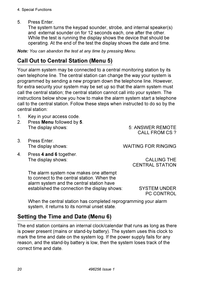5. Press Enter.

The system turns the keypad sounder, strobe, and internal speaker(s) and external sounder on for 12 seconds each, one after the other. While the test is running the display shows the device that should be operating. At the end of the test the display shows the date and time.

*Note: You can abandon the test at any time by pressing Menu.*

# **Call Out to Central Station (Menu 5)**

Your alarm system may be connected to a central monitoring station by its own telephone line. The central station can change the way your system is programmed by sending a new program down the telephone line. However, for extra security your system may be set up so that the alarm system must call the central station; the central station cannot call into your system. The instructions below show you how to make the alarm system start a telephone call to the central station. Follow these steps when instructed to do so by the central station:

- 1. Key in your access code.
- 2. Press **Menu** followed by **5**. The display shows:  $\overline{5}$ : ANSWER REMOTE

CALL FROM CS ?

- 3. Press Enter.
- 4. Press **4 and 6** together. The display shows: The display shows:

The display shows: WAITING FOR RINGING

CENTRAL STATION

The alarm system now makes one attempt to connect to the central station. When the alarm system and the central station have established the connection the display shows: SYSTEM UNDER

PC CONTROL

When the central station has completed reprogramming your alarm system, it returns to its normal unset state.

#### **Setting the Time and Date (Menu 6)**

The end station contains an internal clock/calendar that runs as long as there is power present (mains or stand-by battery). The system uses this clock to mark the time and date on the system log. If the power supply fails for any reason, and the stand-by battery is low, then the system loses track of the correct time and date.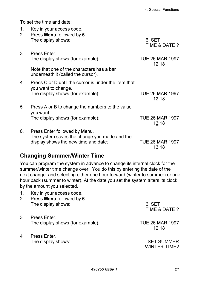To set the time and date:

| 1.<br>2. | Key in your access code.<br>Press Menu followed by 6.                           |                                 |
|----------|---------------------------------------------------------------------------------|---------------------------------|
|          | The display shows:                                                              | 6: SET<br>TIME & DATE ?         |
| 3.       | Press Enter                                                                     |                                 |
|          | The display shows (for example):                                                | <b>TUE 26 MAR 1997</b><br>12:18 |
|          | Note that one of the characters has a bar<br>underneath it (called the cursor). |                                 |
| 4.       | Press C or D until the cursor is under the item that<br>you want to change.     |                                 |
|          | The display shows (for example):                                                | <b>TUE 26 MAR 1997</b><br>12:18 |
| 5.       | Press A or B to change the numbers to the value<br>you want.                    |                                 |
|          | The display shows (for example):                                                | <b>TUE 26 MAR 1997</b><br>13:18 |
| 6.       | Press Enter followed by Menu.<br>The system saves the change you made and the   |                                 |
|          | display shows the new time and date:                                            | TUE 26 MAR 1997<br>13:18        |

#### **Changing Summer/Winter Time**

You can program the system in advance to change its internal clock for the summer/winter time change over. You do this by entering the date of the next change, and selecting either one hour forward (winter to summer) or one hour back (summer to winter). At the date you set the system alters its clock by the amount you selected.

- 1. Key in your access code.
- 2. Press **Menu** followed by **6**. The display shows: 6: SET
- 3. Press Enter. The display shows (for example): TUE 26 MAR 1997
- 4. Press Enter. The display shows: SET SUMMER

TIME & DATE ?

12:18

WINTER TIME?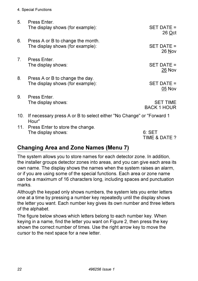- 4. Special Functions
- 5. Press Enter. The display shows (for example): SET DATE =
- 6. Press A or B to change the month. The display shows (for example): SET DATE =
- 7. Press Enter. The display shows: SET DATE =
- 8. Press A or B to change the day. The display shows (for example): SET DATE =
	-

05 Nov

26 Oct

26 Nov

26 Nov

9. Press Enter. The display shows: SET TIME

BACK 1 HOUR

- 10. If necessary press A or B to select either "No Change" or "Forward 1 Hour"
- 11. Press Enter to store the change. The display shows: 6: SET

TIME & DATE ?

#### **Changing Area and Zone Names (Menu 7)**

The system allows you to store names for each detector zone. In addition, the installer groups detector zones into areas, and you can give each area its own name. The display shows the names when the system raises an alarm, or if you are using some of the special functions. Each area or zone name can be a maximum of 16 characters long, including spaces and punctuation marks.

Although the keypad only shows numbers, the system lets you enter letters one at a time by pressing a number key repeatedly until the display shows the letter you want. Each number key gives its own number and three letters of the alphabet.

The figure below shows which letters belong to each number key. When keying in a name, find the letter you want on Figure 2, then press the key shown the correct number of times. Use the right arrow key to move the cursor to the next space for a new letter.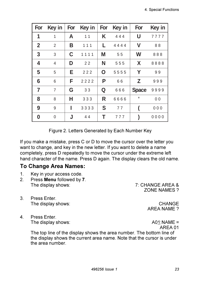| For          | Key in         |   | For Key in | For         | Key in | For          | Key in         |
|--------------|----------------|---|------------|-------------|--------|--------------|----------------|
| 1            | 1              | A | 11         | K           | 444    | U            | 7777           |
| $\mathbf{2}$ | 2              | В | 111        | L           | 4444   | ۷            | 88             |
| 3            | 3              | C | 1111       | M           | 55     | W            | 888            |
| 4            | 4              | D | 22         | N           | 555    | X            | 8888           |
| 5            | 5              | E | 222        | $\mathbf O$ | 5555   | Υ            | 99             |
| 6            | 6              | F | 2222       | P           | 66     | Z            | 999            |
| 7            | $\overline{7}$ | G | 33         | Q           | 666    | <b>Space</b> | 9999           |
| 8            | 8              | н | 333        | R           | 6666   | ٠            | 0 <sub>0</sub> |
| 9            | 9              | ı | 3333       | S           | 77     |              | 000            |
| $\bf{0}$     | 0              | J | 44         | т           | 777    |              | 0000           |

Figure 2. Letters Generated by Each Number Key

If you make a mistake, press C or D to move the cursor over the letter you want to change, and key in the new letter. If you want to delete a name completely, press D repeatedly to move the cursor under the extreme left hand character of the name. Press D again. The display clears the old name.

#### **To Change Area Names:**

- 1. Key in your access code.
- 2. Press **Menu** followed by **7**. The display shows:  $\overline{7}$ : CHANGE AREA &

ZONE NAMES ?

- 3. Press Enter. The display shows: CHANGE
- 4. Press Enter. The display shows: A01:NAME =

AREA NAME ?

AREA 01

The top line of the display shows the area number. The bottom line of the display shows the current area name. Note that the cursor is under the area number.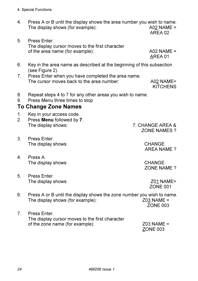- 4. Press A or B until the display shows the area number you wish to name. The display shows (for example):  $A02:NAME =$ 
	- AREA 02
- 5. Press Enter. The display cursor moves to the first character of the area name (for example): A02:NAME =

AREA 01

- 6. Key in the area name as described at the beginning of this subsection (see Figure 2).
- 7. Press Enter when you have completed the area name. The cursor moves back to the area number:  $A02:NAME=$

**KITCHENS** 

- 8. Repeat steps 4 to 7 for any other areas you wish to name.
- 9. Press Menu three times to stop

#### **To Change Zone Names**

- 1. Key in your access code.
- 2. Press **Menu** followed by **7**. The display shows: 7: CHANGE AREA &
- 3. Press Enter. The display shows: CHANGE
- 4. Press A. The display shows: CHANGE
- 5. Press Enter. The display shows:  $Z01:NAME=$

ZONE NAMES ?

AREA NAME ?

ZONE NAME ?

ZONE 001

- 6. Press A or B until the display shows the zone number you wish to name.<br>The display shows (for example):  $Z03: NAME =$ The display shows (for example): ZONE 003
- 7. Press Enter. The display cursor moves to the first character of the zone name (for example): Z03:NAME =

ZONE 003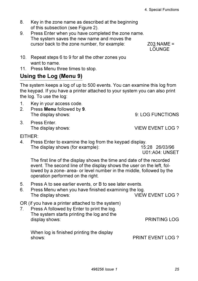- 8. Key in the zone name as described at the beginning of this subsection (see Figure 2).
- 9. Press Enter when you have completed the zone name. The system saves the new name and moves the cursor back to the zone number, for example:  $Z03:NAME =$

LOUNGE

- 10. Repeat steps 6 to 9 for all the other zones you want to name.
- 11. Press Menu three times to stop.

#### **Using the Log (Menu 9)**

The system keeps a log of up to 500 events. You can examine this log from the keypad. If you have a printer attached to your system you can also print the log. To use the log:

- 1. Key in your access code.
- 2. Press **Menu** followed by **9**. The display shows:  $\begin{array}{ccc} 9: LOG FUNCTIONS \end{array}$
- 3. Press Enter.

The display shows: VIEW EVENT LOG ?

EITHER:

4. Press Enter to examine the log from the keypad display. The display shows (for example): 15:28 26/03/96

U01:A04: UNSET

The first line of the display shows the time and date of the recorded event. The second line of the display shows the user on the left, followed by a zone- area- or level number in the middle, followed by the operation performed on the right.

5. Press A to see earlier events, or B to see later events.

| 6. | Press Menu when you have finished examining the log. |                  |
|----|------------------------------------------------------|------------------|
|    | The display shows:                                   | VIEW EVENT LOG ? |

OR (if you have a printer attached to the system)

7. Press A followed by Enter to print the log. The system starts printing the log and the display shows: The PRINTING LOG

| When log is finished printing the display |                          |
|-------------------------------------------|--------------------------|
| shows:                                    | <b>PRINT EVENT LOG ?</b> |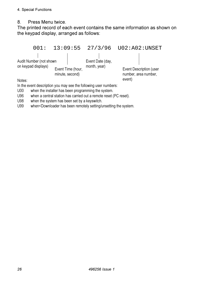#### 8. Press Menu twice.

The printed record of each event contains the same information as shown on the keypad display, arranged as follows:



U00 when the installer has been programming the system.

U96 when a central station has carried out a remote reset (PC reset).

U98 when the system has been set by a keyswitch.

U99 when<Downloader has been remotely setting/unsetting the system.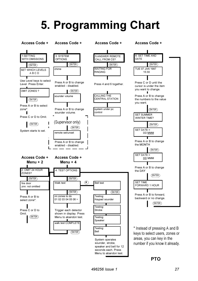# **5. Programming Chart**



**PTO**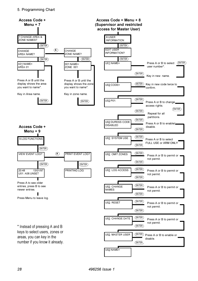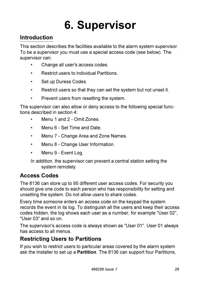# **6. Supervisor**

# **Introduction**

This section describes the facilities available to the alarm system supervisor. To be a supervisor you must use a special access code (see below). The supervisor can:

- Change all user's access codes.
- Restrict users to individual Partitions.
- Set up Duress Codes.
- Restrict users so that they can set the system but not unset it.
- Prevent users from resetting the system.

The supervisor can also allow or deny access to the following special functions described in section 4:

- Menu 1 and 2 Omit Zones.
- Menu 6 Set Time and Date.
- Menu 7 Change Area and Zone Names.
- Menu 8 Change User Information.
- Menu 9 Event Log.

In addition, the supervisor can prevent a central station setting the system remotely.

#### **Access Codes**

The 8136 can store up to 95 different user access codes. For security you should give one code to each person who has responsibility for setting and unsetting the system. Do not allow users to share codes.

Every time someone enters an access code on the keypad the system records the event in its log. To distinguish all the users and keep their access codes hidden, the log shows each user as a number, for example "User 02", "User 03" and so on.

The supervisor's access code is always shown as "User 01". User 01 always has access to all menus.

#### **Restricting Users to Partitions**

If you wish to restrict users to particular areas covered by the alarm system ask the Installer to set up a **Partition**. The 8136 can support four Partitions,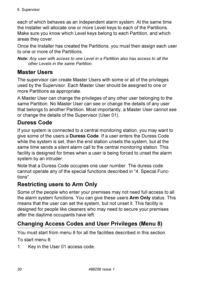each of which behaves as an independent alarm system. At the same time the Installer will allocate one or more Level keys to each of the Partitions. Make sure you know which Level keys belong to each Partition, and which areas they cover.

Once the Installer has created the Partitions, you must then assign each user to one or more of the Partitions.

*Note: Any user with access to one Level in a Partition also has access to all the other Levels in the same Partition.*

### **Master Users**

The supervisor can create Master Users with some or all of the privileges used by the Supervisor. Each Master User should be assigned to one or more Partitions as appropriate.

A Master User can change the privileges of any other user belonging to the same Partition. No Master User can see or change the details of any user that belongs to another Partition. Most importantly, a Master User cannot see or change the details of the Supervisor (User 01).

## **Duress Code**

If your system is connected to a central monitoring station, you may want to give some of the users a **Duress Code**. If a user enters the Duress Code while the system is set, then the end station unsets the system, but at the same time sends a silent alarm call to the central monitoring station. This facility is designed for times when a user is being forced to unset the alarm system by an intruder.

Note that a Duress Code occupies one user number. The duress code cannot operate any of the special functions described in "4. Special Functions".

#### **Restricting users to Arm Only**

Some of the people who enter your premises may not need full access to all the alarm system functions. You can give these users **Arm Only** status. This means that the user can set the system, but not unset it. This facility is designed for people like cleaners who may need to secure your premises after the daytime occupants have left.

# **Changing Access Codes and User Privileges (Menu 8)**

You must start from menu 8 for all the facilities described in this section.

To start menu 8:

1. Key in the User 01 access code.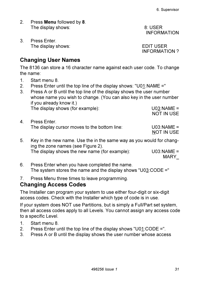- 2. Press **Menu** followed by **8**. The display shows:  $\overline{\hspace{1.5cm}}$  8: USER
- 3. Press Enter. The display shows: EDIT USER

INFORMATION ?

INFORMATION

#### **Changing User Names**

The 8136 can store a 16 character name against each user code. To change the name:

- 1. Start menu 8.
- 2. Press Enter until the top line of the display shows: "U01:NAME ="
- 3. Press A or B until the top line of the display shows the user number whose name you wish to change. (You can also key in the user number if you already know it.) The display shows (for example): U03:NAME =

4. Press Enter. The display cursor moves to the bottom line: U03:NAME =

NOT IN USE

NOT IN USE

- 5. Key in the new name. Use the in the same way as you would for changing the zone names (see Figure 2). The display shows the new name (for example): U03:NAME = MARY\_
- 6. Press Enter when you have completed the name. The system stores the name and the display shows "U03:CODE ="
- 7. Press Menu three times to leave programming.

#### **Changing Access Codes**

The Installer can program your system to use either four-digit or six-digit access codes. Check with the Installer which type of code is in use.

If your system does NOT use Partitions, but is simply a Full/Part set system, then all access codes apply to all Levels. You cannot assign any access code to a specific Level.

- 1. Start menu 8.
- 2. Press Enter until the top line of the display shows "U01:CODE =".
- 3. Press A or B until the display shows the user number whose access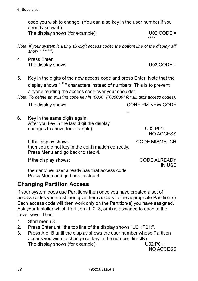*32 496256 Issue 1*

code you wish to change. (You can also key in the user number if you already know it.) The display shows (for example): U02:CODE =

*Note: If your system is using six-digit access codes the bottom line of the display will show "\*\*\*\*\*\*".*

4. Press Enter. The display shows: U02:CODE =

5. Key in the digits of the new access code and press Enter. Note that the display shows " \* " characters instead of numbers. This is to prevent anyone reading the access code over your shoulder.

*Note: To delete an existing code key in "0000" ("000000" for six digit access codes).*

6. Key in the same digits again. After you key in the last digit the display changes to show (for example): U02:P01:

NO ACCESS

If the display shows: CODE MISMATCH then you did not key in the confirmation correctly. Press Menu and go back to step 4.

If the display shows: CODE ALREADY

IN USE

then another user already has that access code. Press Menu and go back to step 4.

# **Changing Partition Access**

If your system does use Partitions then once you have created a set of access codes you must then give them access to the appropriate Partition(s). Each access code will then work only on the Partition(s) you have assigned. Ask your Installer which Partition (1, 2, 3, or 4) is assigned to each of the Level keys. Then:

- 1. Start menu 8.
- 2. Press Enter until the top line of the display shows "U01:P01:".
- 3. Press A or B until the display shows the user number whose Partition access you wish to change (or key in the number directly). The display shows (for example): U02:P01:

NO ACCESS

\*\*\*\*

\_

The display shows: CONFIRM NEW CODE

\_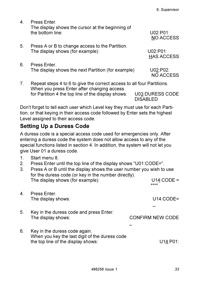| 4. | Press Enter<br>The display shows the cursor at the beginning of<br>the bottom line: | U02:PO1:<br>NO ACCESS         |
|----|-------------------------------------------------------------------------------------|-------------------------------|
| 5. | Press A or B to change access to the Partition.<br>The display shows (for example): | U02:PO1:<br><b>HAS ACCESS</b> |
| 6. | Press Enter.<br>The display shows the next Partition (for example)                  | U02:P02:<br>NO ACCESS         |

Don't forget to tell each user which Level key they must use for each Partition, or that keying in their access code followed by Enter sets the highest Level assigned to their access code.

#### **Setting Up a Duress Code**

A duress code is a special access code used for emergencies only. After entering a duress code the system does not allow access to any of the special functions listed in section 4. In addition, the system will not let you give User 01 a duress code.

- 1. Start menu 8.
- 2. Press Enter until the top line of the display shows "U01:CODE=".
- 3. Press A or B until the display shows the user number you wish to use for the duress code (or key in the number directly). The display shows (for example): U14: CODE =

| 4. | Press Enter.<br>The display shows:                                              | $U14$ :CODE=     |
|----|---------------------------------------------------------------------------------|------------------|
| 5. | Key in the duress code and press Enter.<br>The display shows:                   | CONFIRM NEW CODE |
| 6. | Key in the duress code again.<br>When you key the last digit of the duress code |                  |
|    | the top line of the display shows:                                              | U14:P01:         |

\*\*\*\*

6. Supervisor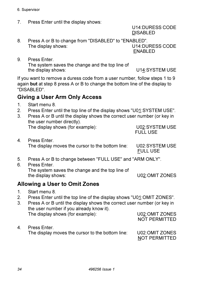7. Press Enter until the display shows:

U14:DURESS CODE DISABLED

8. Press A or B to change from "DISABLED" to "ENABLED". The display shows: U14:DURESS CODE ENABLED

9. Press Enter.

The system saves the change and the top line of the display shows: U14:SYSTEM USE

If you want to remove a duress code from a user number, follow steps 1 to 9 again **but** at step 8 press A or B to change the bottom line of the display to "DISABLED".

#### **Giving a User Arm Only Access**

- 1. Start menu 8.
- 2. Press Enter until the top line of the display shows "U01:SYSTEM USE".
- 3. Press A or B until the display shows the correct user number (or key in the user number directly). The display shows (for example): U02:SYSTEM USE
- FULL USE 4. Press Enter.

The display moves the cursor to the bottom line: U02:SYSTEM USE

FULL USE

- 5. Press A or B to change between "FULL USE" and "ARM ONLY".
- 6. Press Enter. The system saves the change and the top line of the display shows: U02:OMIT ZONES

#### **Allowing a User to Omit Zones**

- 1. Start menu 8.
- 2. Press Enter until the top line of the display shows "U01:OMIT ZONES".
- 3. Press A or B until the display shows the correct user number (or key in the user number if you already know it). The display shows (for example): U02:OMIT ZONES NOT PERMITTED
- 4. Press Enter.

The display moves the cursor to the bottom line: U02:OMIT ZONES

NOT PERMITTED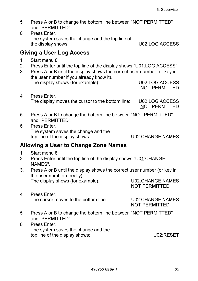- 5. Press A or B to change the bottom line between "NOT PERMITTED" and "PERMITTED".
- 6. Press Enter. The system saves the change and the top line of the display shows: U02:LOG ACCESS

#### **Giving a User Log Access**

- 1. Start menu 8.<br>2. Press Enter u
- 2. Press Enter until the top line of the display shows "U01:LOG ACCESS".
- 3. Press A or B until the display shows the correct user number (or key in the user number if you already know it). The display shows (for example): U02:LOG ACCESS

NOT PERMITTED

4. Press Enter. The display moves the cursor to the bottom line: U02:LOG ACCESS

NOT PERMITTED

- 5. Press A or B to change the bottom line between "NOT PERMITTED" and "PERMITTED".
- 6. Press Enter. The system saves the change and the top line of the display shows: U02:CHANGE NAMES

#### **Allowing a User to Change Zone Names**

- 1. Start menu 8.
- 2. Press Enter until the top line of the display shows "U01:CHANGE NAMES".
- 3. Press A or B until the display shows the correct user number (or key in the user number directly). The display shows (for example): U02:CHANGE NAMES

NOT PERMITTED

4. Press Enter. The cursor moves to the bottom line: U02:CHANGE NAMES

NOT PERMITTED

- 5. Press A or B to change the bottom line between "NOT PERMITTED" and "PERMITTED".
- 6. Press Enter. The system saves the change and the top line of the display shows: U02:RESET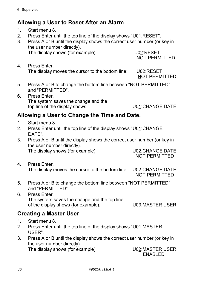#### **Allowing a User to Reset After an Alarm**

- 1. Start menu 8.
- 2. Press Enter until the top line of the display shows "U01:RESET".
- 3. Press A or B until the display shows the correct user number (or key in the user number directly).

The display shows (for example): U02:RESET

NOT PERMITTED.

4. Press Enter. The display moves the cursor to the bottom line: U02:RESET

NOT PERMITTED

- 5. Press A or B to change the bottom line between "NOT PERMITTED" and "PERMITTED".
- 6. Press Enter. The system saves the change and the top line of the display shows: U01:CHANGE DATE

#### **Allowing a User to Change the Time and Date.**

- 1. Start menu 8.
- 2. Press Enter until the top line of the display shows "U01:CHANGE DATE".
- 3. Press A or B until the display shows the correct user number (or key in the user number directly). The display shows (for example): U02:CHANGE DATE

NOT PERMITTED

- 4. Press Enter. The display moves the cursor to the bottom line: U02:CHANGE DATE NOT PERMITTED
- 5. Press A or B to change the bottom line between "NOT PERMITTED" and "PERMITTED".
- 6. Press Enter. The system saves the change and the top line of the display shows (for example): U03:MASTER USER

#### **Creating a Master User**

- 
- 1. Start menu 8.<br>2. Press Enter u Press Enter until the top line of the display shows "U01:MASTER" USER".
- 3. Press A or B until the display shows the correct user number (or key in the user number directly). The display shows (for example): U02:MASTER USER

ENABLED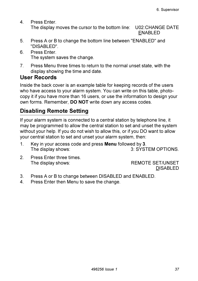- 4. Press Enter. The display moves the cursor to the bottom line: U02:CHANGE DATE ENABLED
- 5. Press A or B to change the bottom line between "ENABLED" and "DISABLED".
- 6. Press Enter. The system saves the change.
- 7. Press Menu three times to return to the normal unset state, with the display showing the time and date.

#### **User Records**

Inside the back cover is an example table for keeping records of the users who have access to your alarm system. You can write on this table, photocopy it if you have more than 16 users, or use the information to design your own forms. Remember, **DO NOT** write down any access codes.

# **Disabling Remote Setting**

If your alarm system is connected to a central station by telephone line, it may be programmed to allow the central station to set and unset the system without your help. If you do not wish to allow this, or if you DO want to allow your central station to set and unset your alarm system, then:

- 1. Key in your access code and press **Menu** followed by **3**. The display shows: 3: SYSTEM OPTIONS.
- 2. Press Enter three times. The display shows: REMOTE SET/UNSET

DISABLED

- 3. Press A or B to change between DISABLED and ENABLED.
- 4. Press Enter then Menu to save the change.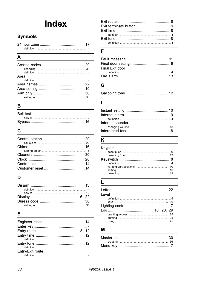# **Index**

#### **Symbols**

#### $\overline{\mathsf{A}}$

| Area |  |
|------|--|
|      |  |
|      |  |
|      |  |
|      |  |
|      |  |
|      |  |

#### $\overline{\mathsf{B}}$

| Bell test                                                                                                               |  |
|-------------------------------------------------------------------------------------------------------------------------|--|
| how to <u>the substantial of the set of the set of the set of the set of the set of the set of the set of the set o</u> |  |
|                                                                                                                         |  |

#### $\mathbf c$

#### D

| how to <u>with the community of the state of the state of the state of the state of the state of the state of</u> |  |
|-------------------------------------------------------------------------------------------------------------------|--|
|                                                                                                                   |  |

#### E

| Entry/Exit route |  |
|------------------|--|
|                  |  |

#### $\overline{F}$

| Final Exit door |  |
|-----------------|--|
|                 |  |
|                 |  |

#### $\overline{G}$

#### $\mathbf{I}$

| Internal sounder |  |
|------------------|--|
|                  |  |
|                  |  |

#### K

| Keypad |  |
|--------|--|
|        |  |
|        |  |
|        |  |
|        |  |
|        |  |
|        |  |
|        |  |

#### $\overline{L}$

| I evel |  |
|--------|--|
|        |  |
|        |  |
|        |  |
|        |  |
|        |  |
|        |  |
|        |  |

#### M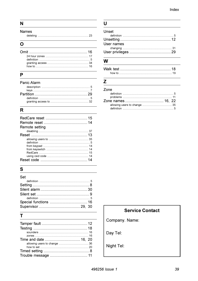#### $\overline{N}$

| <b>Names</b> |  |
|--------------|--|

#### $\Omega$

| how to <u>with the community of the community of the community of the community of the community of the community of the community of the community of the community of the community of the community of the community of the c</u> |  |
|--------------------------------------------------------------------------------------------------------------------------------------------------------------------------------------------------------------------------------------|--|
|                                                                                                                                                                                                                                      |  |

#### $\overline{P}$

#### Panic Alarm

#### $\mathsf{R}$

| Remote setting |  |
|----------------|--|
|                |  |
|                |  |
|                |  |
|                |  |
|                |  |
|                |  |
|                |  |
|                |  |
|                |  |

#### ${\bf S}$

| Set |  |
|-----|--|
|     |  |
|     |  |
|     |  |
|     |  |
|     |  |
|     |  |
|     |  |

#### $\mathbf{T}$

#### $\overline{U}$

| Unset      |  |
|------------|--|
|            |  |
|            |  |
| User names |  |
|            |  |
|            |  |

#### W

#### $\mathsf{Z}$

#### Zone

#### **Service Contact**

Company. Name:

Day Tel:

Night Tel: